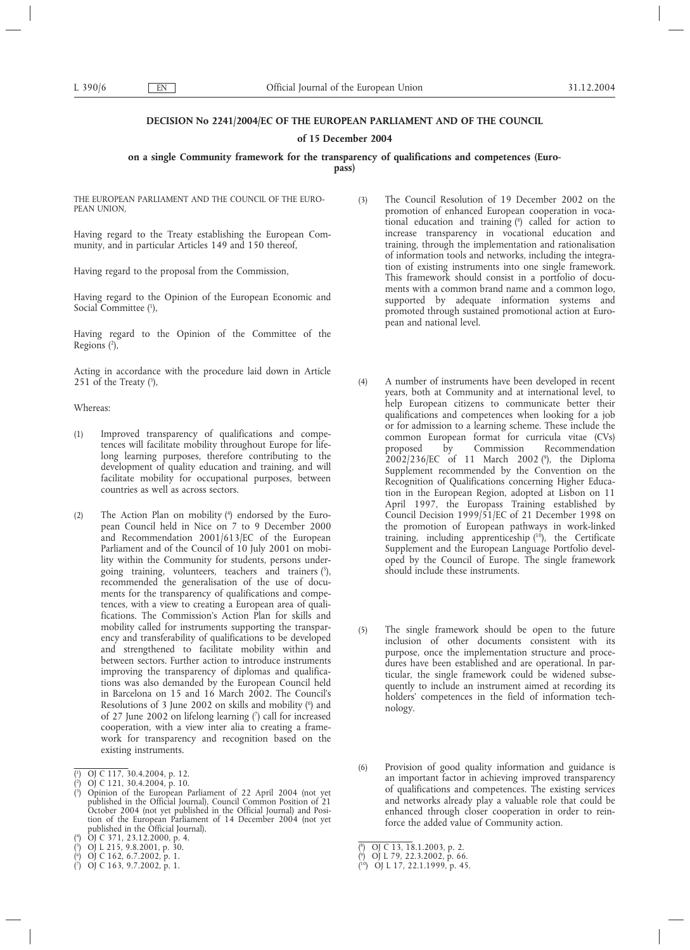# **DECISION No 2241/2004/EC OF THE EUROPEAN PARLIAMENT AND OF THE COUNCIL**

# **of 15 December 2004**

# **on a single Community framework for the transparency of qualifications and competences (Euro-**

**pass)**

THE EUROPEAN PARLIAMENT AND THE COUNCIL OF THE EURO-PEAN UNION

Having regard to the Treaty establishing the European Community, and in particular Articles 149 and 150 thereof,

Having regard to the proposal from the Commission,

Having regard to the Opinion of the European Economic and Social Committee (1),

Having regard to the Opinion of the Committee of the Regions (2),

Acting in accordance with the procedure laid down in Article 251 of the Treaty  $(3)$ ,

# Whereas:

- (1) Improved transparency of qualifications and competences will facilitate mobility throughout Europe for lifelong learning purposes, therefore contributing to the development of quality education and training, and will facilitate mobility for occupational purposes, between countries as well as across sectors.
- (2) The Action Plan on mobility (4 ) endorsed by the European Council held in Nice on 7 to 9 December 2000 and Recommendation 2001/613/EC of the European Parliament and of the Council of 10 July 2001 on mobility within the Community for students, persons undergoing training, volunteers, teachers and trainers (5 ), recommended the generalisation of the use of documents for the transparency of qualifications and competences, with a view to creating a European area of qualifications. The Commission's Action Plan for skills and mobility called for instruments supporting the transparency and transferability of qualifications to be developed and strengthened to facilitate mobility within and between sectors. Further action to introduce instruments improving the transparency of diplomas and qualifications was also demanded by the European Council held in Barcelona on 15 and 16 March 2002. The Council's Resolutions of 3 June 2002 on skills and mobility (<sup>6</sup>) and of 27 June 2002 on lifelong learning (7 ) call for increased cooperation, with a view inter alia to creating a framework for transparency and recognition based on the existing instruments.

- ( 4 ) OJ C 371, 23.12.2000, p. 4.
- ( 5 ) OJ L 215, 9.8.2001, p. 30.
- ( 6 ) OJ C 162, 6.7.2002, p. 1.
- (3) The Council Resolution of 19 December 2002 on the promotion of enhanced European cooperation in vocational education and training (8 ) called for action to increase transparency in vocational education and training, through the implementation and rationalisation of information tools and networks, including the integration of existing instruments into one single framework. This framework should consist in a portfolio of documents with a common brand name and a common logo, supported by adequate information systems and promoted through sustained promotional action at European and national level.
- (4) A number of instruments have been developed in recent years, both at Community and at international level, to help European citizens to communicate better their qualifications and competences when looking for a job or for admission to a learning scheme. These include the common European format for curricula vitae (CVs) proposed by Commission Recommendation 2002/236/EC of 11 March 2002 (9 ), the Diploma Supplement recommended by the Convention on the Recognition of Qualifications concerning Higher Education in the European Region, adopted at Lisbon on 11 April 1997, the Europass Training established by Council Decision 1999/51/EC of 21 December 1998 on the promotion of European pathways in work-linked training, including apprenticeship  $(10)$ , the Certificate Supplement and the European Language Portfolio developed by the Council of Europe. The single framework should include these instruments.
- (5) The single framework should be open to the future inclusion of other documents consistent with its purpose, once the implementation structure and procedures have been established and are operational. In particular, the single framework could be widened subsequently to include an instrument aimed at recording its holders' competences in the field of information technology.
- (6) Provision of good quality information and guidance is an important factor in achieving improved transparency of qualifications and competences. The existing services and networks already play a valuable role that could be enhanced through closer cooperation in order to reinforce the added value of Community action.

<sup>(</sup> 1 ) OJ C 117, 30.4.2004, p. 12.

 $(2)$ ) OJ C 121, 30.4.2004, p. 10. ( 3 ) Opinion of the European Parliament of 22 April 2004 (not yet published in the Official Journal), Council Common Position of 21 October 2004 (not yet published in the Official Journal) and Position of the European Parliament of 14 December 2004 (not yet published in the Official Journal).

<sup>(</sup> 7 ) OJ C 163, 9.7.2002, p. 1.

<sup>(</sup> 8 ) OJ C 13, 18.1.2003, p. 2.

<sup>(</sup> 9 ) OJ L 79, 22.3.2002, p. 66.

<sup>(</sup> 10) OJ L 17, 22.1.1999, p. 45.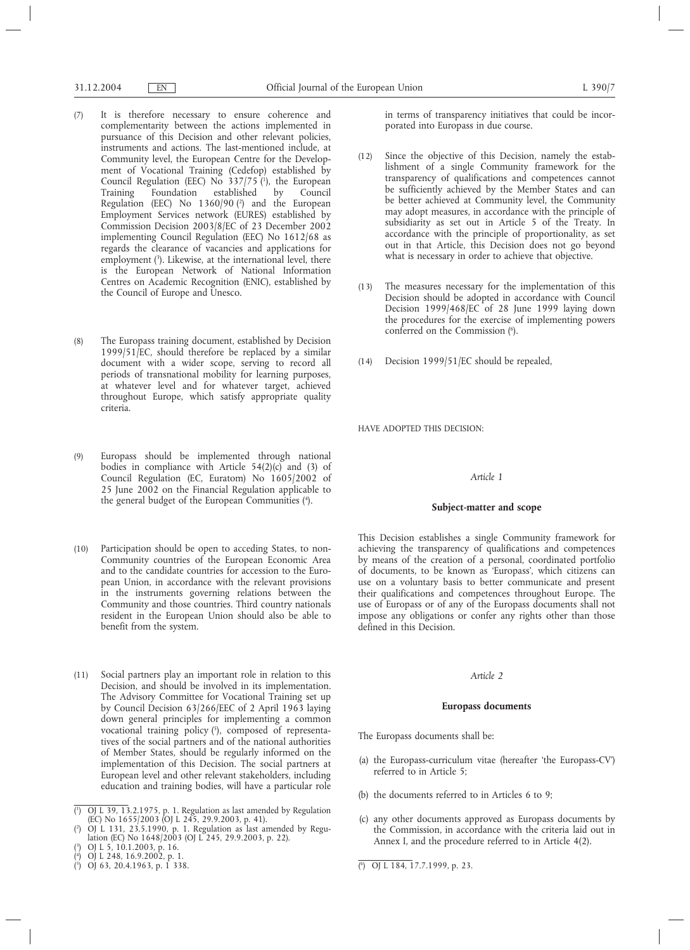- (7) It is therefore necessary to ensure coherence and complementarity between the actions implemented in pursuance of this Decision and other relevant policies, instruments and actions. The last-mentioned include, at Community level, the European Centre for the Development of Vocational Training (Cedefop) established by Council Regulation (EEC) No  $337/75$  (<sup>1</sup>), the European Training Foundation established by Council Regulation (EEC) No 1360/90 (2 ) and the European Employment Services network (EURES) established by Commission Decision 2003/8/EC of 23 December 2002 implementing Council Regulation (EEC) No 1612/68 as regards the clearance of vacancies and applications for employment (3). Likewise, at the international level, there is the European Network of National Information Centres on Academic Recognition (ENIC), established by the Council of Europe and Unesco.
- (8) The Europass training document, established by Decision 1999/51/EC, should therefore be replaced by a similar document with a wider scope, serving to record all periods of transnational mobility for learning purposes, at whatever level and for whatever target, achieved throughout Europe, which satisfy appropriate quality criteria.
- (9) Europass should be implemented through national bodies in compliance with Article  $54(2)(c)$  and (3) of Council Regulation (EC, Euratom) No 1605/2002 of 25 June 2002 on the Financial Regulation applicable to the general budget of the European Communities (4 ).
- (10) Participation should be open to acceding States, to non-Community countries of the European Economic Area and to the candidate countries for accession to the European Union, in accordance with the relevant provisions in the instruments governing relations between the Community and those countries. Third country nationals resident in the European Union should also be able to benefit from the system.
- (11) Social partners play an important role in relation to this Decision, and should be involved in its implementation. The Advisory Committee for Vocational Training set up by Council Decision 63/266/EEC of 2 April 1963 laying down general principles for implementing a common vocational training policy (5), composed of representatives of the social partners and of the national authorities of Member States, should be regularly informed on the implementation of this Decision. The social partners at European level and other relevant stakeholders, including education and training bodies, will have a particular role

- $(3)$ ) OJ L 5, 10.1.2003, p. 16.
- ( 4 ) OJ L 248, 16.9.2002, p. 1.

in terms of transparency initiatives that could be incorporated into Europass in due course.

- (12) Since the objective of this Decision, namely the establishment of a single Community framework for the transparency of qualifications and competences cannot be sufficiently achieved by the Member States and can be better achieved at Community level, the Community may adopt measures, in accordance with the principle of subsidiarity as set out in Article 5 of the Treaty. In accordance with the principle of proportionality, as set out in that Article, this Decision does not go beyond what is necessary in order to achieve that objective.
- (13) The measures necessary for the implementation of this Decision should be adopted in accordance with Council Decision 1999/468/EC of 28 June 1999 laying down the procedures for the exercise of implementing powers conferred on the Commission (<sup>6</sup>).
- (14) Decision 1999/51/EC should be repealed,

HAVE ADOPTED THIS DECISION:

# *Article 1*

# **Subject-matter and scope**

This Decision establishes a single Community framework for achieving the transparency of qualifications and competences by means of the creation of a personal, coordinated portfolio of documents, to be known as 'Europass', which citizens can use on a voluntary basis to better communicate and present their qualifications and competences throughout Europe. The use of Europass or of any of the Europass documents shall not impose any obligations or confer any rights other than those defined in this Decision.

### *Article 2*

# **Europass documents**

The Europass documents shall be:

- (a) the Europass-curriculum vitae (hereafter 'the Europass-CV') referred to in Article 5;
- (b) the documents referred to in Articles 6 to 9;
- (c) any other documents approved as Europass documents by the Commission, in accordance with the criteria laid out in Annex I, and the procedure referred to in Article 4(2).

<sup>(</sup> 1 ) OJ L 39, 13.2.1975, p. 1. Regulation as last amended by Regulation (EC) No 1655/2003 (OJ L 245, 29.9.2003, p. 41).

<sup>(</sup> 2 ) OJ L 131, 23.5.1990, p. 1. Regulation as last amended by Regulation (EC) No 1648/2003 (OJ L 245, 29.9.2003, p. 22).

 $\binom{5}{2}$  OJ 63, 20.4.1963, p. 1 338.

<sup>6</sup> ) OJ L 184, 17.7.1999, p. 23.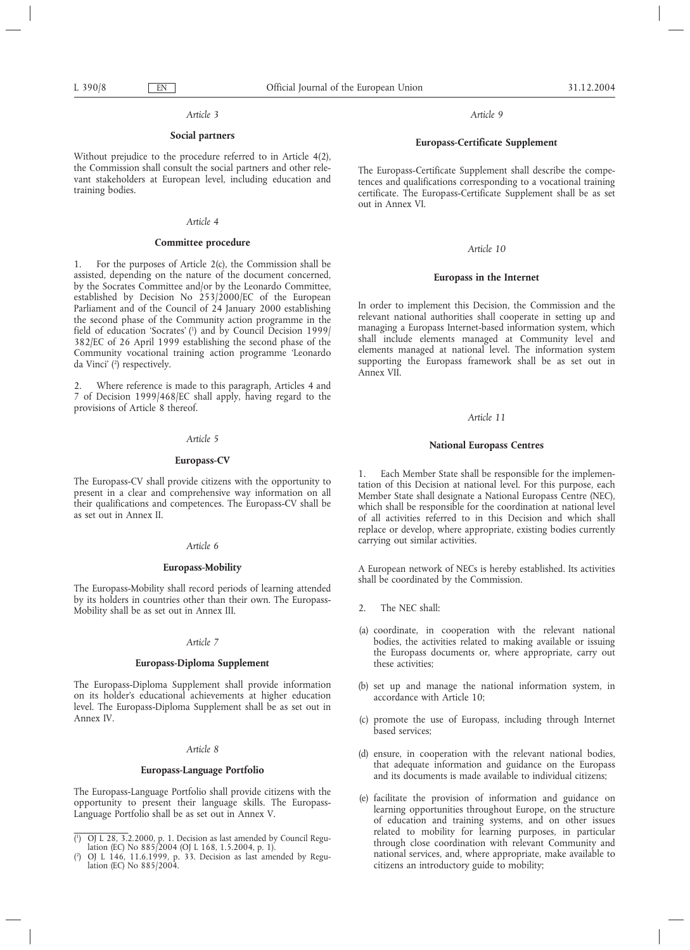### *Article 3*

# **Social partners**

Without prejudice to the procedure referred to in Article 4(2), the Commission shall consult the social partners and other relevant stakeholders at European level, including education and training bodies.

# *Article 4*

# **Committee procedure**

1. For the purposes of Article 2(c), the Commission shall be assisted, depending on the nature of the document concerned, by the Socrates Committee and/or by the Leonardo Committee, established by Decision No 253/2000/EC of the European Parliament and of the Council of 24 January 2000 establishing the second phase of the Community action programme in the field of education 'Socrates' (1 ) and by Council Decision 1999/ 382/EC of 26 April 1999 establishing the second phase of the Community vocational training action programme 'Leonardo da Vinci' (2 ) respectively.

2. Where reference is made to this paragraph, Articles 4 and 7 of Decision 1999/468/EC shall apply, having regard to the provisions of Article 8 thereof.

# *Article 5*

# **Europass-CV**

The Europass-CV shall provide citizens with the opportunity to present in a clear and comprehensive way information on all their qualifications and competences. The Europass-CV shall be as set out in Annex II.

# *Article 6*

# **Europass-Mobility**

The Europass-Mobility shall record periods of learning attended by its holders in countries other than their own. The Europass-Mobility shall be as set out in Annex III.

### *Article 7*

# **Europass-Diploma Supplement**

The Europass-Diploma Supplement shall provide information on its holder's educational achievements at higher education level. The Europass-Diploma Supplement shall be as set out in Annex IV.

# *Article 8*

### **Europass-Language Portfolio**

The Europass-Language Portfolio shall provide citizens with the opportunity to present their language skills. The Europass-Language Portfolio shall be as set out in Annex V.

*Article 9*

# **Europass-Certificate Supplement**

The Europass-Certificate Supplement shall describe the competences and qualifications corresponding to a vocational training certificate. The Europass-Certificate Supplement shall be as set out in Annex VI.

### *Article 10*

# **Europass in the Internet**

In order to implement this Decision, the Commission and the relevant national authorities shall cooperate in setting up and managing a Europass Internet-based information system, which shall include elements managed at Community level and elements managed at national level. The information system supporting the Europass framework shall be as set out in Annex VII.

### *Article 11*

# **National Europass Centres**

1. Each Member State shall be responsible for the implementation of this Decision at national level. For this purpose, each Member State shall designate a National Europass Centre (NEC), which shall be responsible for the coordination at national level of all activities referred to in this Decision and which shall replace or develop, where appropriate, existing bodies currently carrying out similar activities.

A European network of NECs is hereby established. Its activities shall be coordinated by the Commission.

- 2. The NEC shall:
- (a) coordinate, in cooperation with the relevant national bodies, the activities related to making available or issuing the Europass documents or, where appropriate, carry out these activities;
- (b) set up and manage the national information system, in accordance with Article 10;
- (c) promote the use of Europass, including through Internet based services;
- (d) ensure, in cooperation with the relevant national bodies, that adequate information and guidance on the Europass and its documents is made available to individual citizens;
- (e) facilitate the provision of information and guidance on learning opportunities throughout Europe, on the structure of education and training systems, and on other issues related to mobility for learning purposes, in particular through close coordination with relevant Community and national services, and, where appropriate, make available to citizens an introductory guide to mobility;

 $($ <sup>1</sup> ) OJ L 28, 3.2.2000, p. 1. Decision as last amended by Council Regulation (EC) No 885/2004 (OJ L 168, 1.5.2004, p. 1).

<sup>(</sup> 2 ) OJ L 146, 11.6.1999, p. 33. Decision as last amended by Regulation (EC) No 885/2004.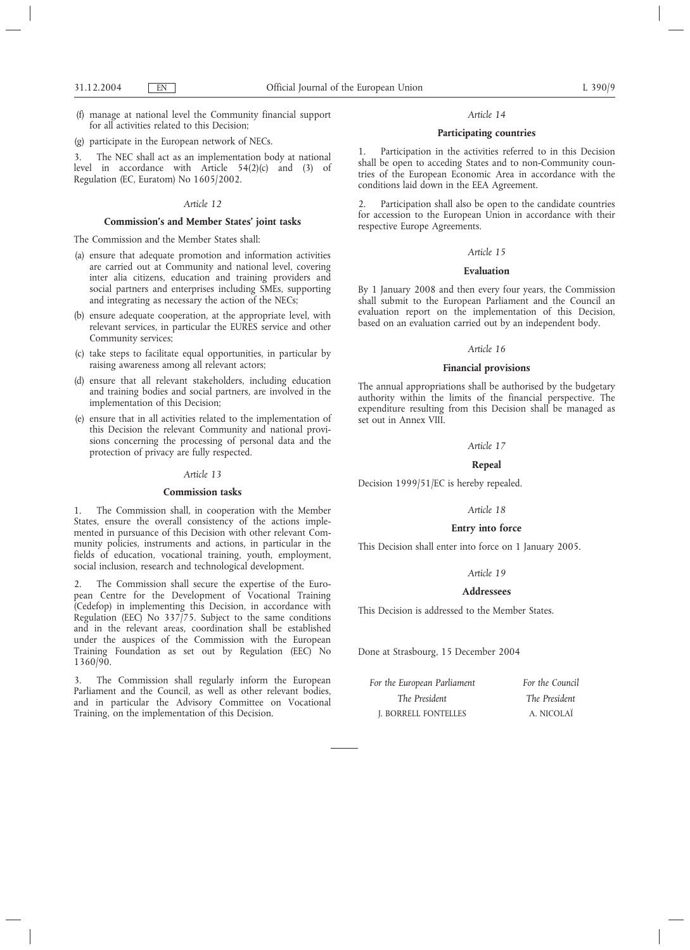(f) manage at national level the Community financial support for all activities related to this Decision;

(g) participate in the European network of NECs.

3. The NEC shall act as an implementation body at national level in accordance with Article 54(2)(c) and (3) of Regulation (EC, Euratom) No 1605/2002.

### *Article 12*

# **Commission's and Member States' joint tasks**

The Commission and the Member States shall:

- (a) ensure that adequate promotion and information activities are carried out at Community and national level, covering inter alia citizens, education and training providers and social partners and enterprises including SMEs, supporting and integrating as necessary the action of the NECs;
- (b) ensure adequate cooperation, at the appropriate level, with relevant services, in particular the EURES service and other Community services;
- (c) take steps to facilitate equal opportunities, in particular by raising awareness among all relevant actors;
- (d) ensure that all relevant stakeholders, including education and training bodies and social partners, are involved in the implementation of this Decision;
- (e) ensure that in all activities related to the implementation of this Decision the relevant Community and national provisions concerning the processing of personal data and the protection of privacy are fully respected.

### *Article 13*

### **Commission tasks**

1. The Commission shall, in cooperation with the Member States, ensure the overall consistency of the actions implemented in pursuance of this Decision with other relevant Community policies, instruments and actions, in particular in the fields of education, vocational training, youth, employment, social inclusion, research and technological development.

2. The Commission shall secure the expertise of the European Centre for the Development of Vocational Training (Cedefop) in implementing this Decision, in accordance with Regulation (EEC) No  $337/75$ . Subject to the same conditions and in the relevant areas, coordination shall be established under the auspices of the Commission with the European Training Foundation as set out by Regulation (EEC) No 1360/90.

3. The Commission shall regularly inform the European Parliament and the Council, as well as other relevant bodies, and in particular the Advisory Committee on Vocational Training, on the implementation of this Decision.

### *Article 14*

# **Participating countries**

1. Participation in the activities referred to in this Decision shall be open to acceding States and to non-Community countries of the European Economic Area in accordance with the conditions laid down in the EEA Agreement.

2. Participation shall also be open to the candidate countries for accession to the European Union in accordance with their respective Europe Agreements.

# *Article 15*

### **Evaluation**

By 1 January 2008 and then every four years, the Commission shall submit to the European Parliament and the Council an evaluation report on the implementation of this Decision, based on an evaluation carried out by an independent body.

### *Article 16*

# **Financial provisions**

The annual appropriations shall be authorised by the budgetary authority within the limits of the financial perspective. The expenditure resulting from this Decision shall be managed as set out in Annex VIII.

### *Article 17*

# **Repeal**

Decision 1999/51/EC is hereby repealed.

### *Article 18*

### **Entry into force**

This Decision shall enter into force on 1 January 2005.

# *Article 19*

# **Addressees**

This Decision is addressed to the Member States.

Done at Strasbourg, 15 December 2004

| For the European Parliament | For the Council |
|-----------------------------|-----------------|
| The President               | The President   |
| J. BORRELL FONTELLES        | A. NICOLAÏ      |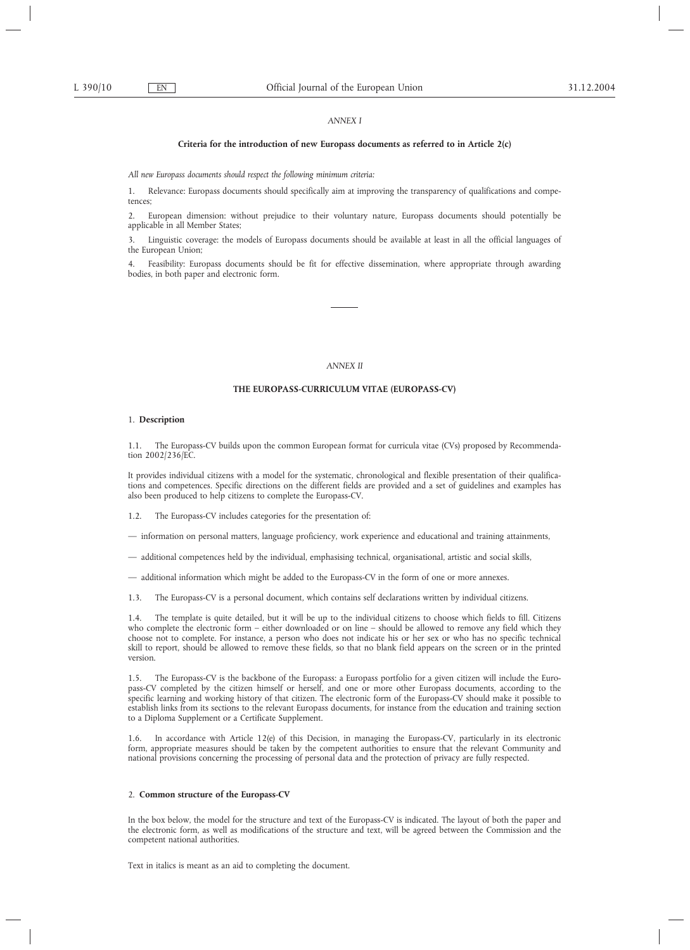# *ANNEX I*

### **Criteria for the introduction of new Europass documents as referred to in Article 2(c)**

*All new Europass documents should respect the following minimum criteria:*

1. Relevance: Europass documents should specifically aim at improving the transparency of qualifications and competences;

2. European dimension: without prejudice to their voluntary nature, Europass documents should potentially be applicable in all Member States;

3. Linguistic coverage: the models of Europass documents should be available at least in all the official languages of the European Union;

4. Feasibility: Europass documents should be fit for effective dissemination, where appropriate through awarding bodies, in both paper and electronic form.

# *ANNEX II*

### **THE EUROPASS-CURRICULUM VITAE (EUROPASS-CV)**

### 1. **Description**

1.1. The Europass-CV builds upon the common European format for curricula vitae (CVs) proposed by Recommendation 2002/236/EC.

It provides individual citizens with a model for the systematic, chronological and flexible presentation of their qualifications and competences. Specific directions on the different fields are provided and a set of guidelines and examples has also been produced to help citizens to complete the Europass-CV.

The Europass-CV includes categories for the presentation of:

— information on personal matters, language proficiency, work experience and educational and training attainments,

— additional competences held by the individual, emphasising technical, organisational, artistic and social skills,

— additional information which might be added to the Europass-CV in the form of one or more annexes.

1.3. The Europass-CV is a personal document, which contains self declarations written by individual citizens.

1.4. The template is quite detailed, but it will be up to the individual citizens to choose which fields to fill. Citizens who complete the electronic form – either downloaded or on line – should be allowed to remove any field which they choose not to complete. For instance, a person who does not indicate his or her sex or who has no specific technical skill to report, should be allowed to remove these fields, so that no blank field appears on the screen or in the printed version.

1.5. The Europass-CV is the backbone of the Europass: a Europass portfolio for a given citizen will include the Europass-CV completed by the citizen himself or herself, and one or more other Europass documents, according to the specific learning and working history of that citizen. The electronic form of the Europass-CV should make it possible to establish links from its sections to the relevant Europass documents, for instance from the education and training section to a Diploma Supplement or a Certificate Supplement.

In accordance with Article 12(e) of this Decision, in managing the Europass-CV, particularly in its electronic form, appropriate measures should be taken by the competent authorities to ensure that the relevant Community and national provisions concerning the processing of personal data and the protection of privacy are fully respected.

### 2. **Common structure of the Europass-CV**

In the box below, the model for the structure and text of the Europass-CV is indicated. The layout of both the paper and the electronic form, as well as modifications of the structure and text, will be agreed between the Commission and the competent national authorities.

Text in italics is meant as an aid to completing the document.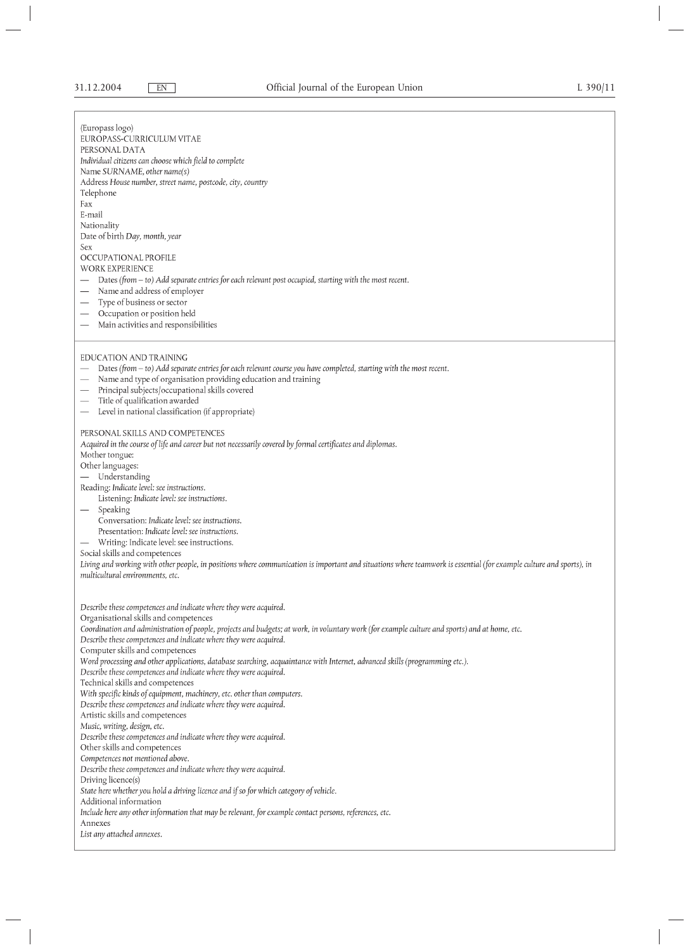(Europass logo)

EUROPASS-CURRICULUM VITAE

PERSONAL DATA

Individual citizens can choose which field to complete

Name SURNAME, other name(s) Address House number, street name, postcode, city, country

Telephone

Fax

E-mail

Nationality

Date of birth Day, month, year

Sex

OCCUPATIONAL PROFILE WORK EXPERIENCE

 $-$  Dates (from  $-$  to) Add separate entries for each relevant post occupied, starting with the most recent.

- Name and address of employer
- Type of business or sector
- Occupation or position held
- Main activities and responsibilities

# EDUCATION AND TRAINING

- Dates (from to) Add separate entries for each relevant course you have completed, starting with the most recent.
- Name and type of organisation providing education and training
- Principal subjects/occupational skills covered
- Title of qualification awarded
- Level in national classification (if appropriate)

# PERSONAL SKILLS AND COMPETENCES

Acquired in the course of life and career but not necessarily covered by formal certificates and diplomas.

Mother tongue:

Other languages:

- Understanding
- Reading: Indicate level: see instructions.
- Listening: Indicate level: see instructions.
- Speaking
- Conversation: Indicate level: see instructions.
- Presentation: Indicate level: see instructions.
- Writing: Indicate level: see instructions.

Social skills and competences

Living and working with other people, in positions where communication is important and situations where teamwork is essential (for example culture and sports), in multicultural environments, etc.

Describe these competences and indicate where they were acquired. Organisational skills and competences Coordination and administration of people, projects and budgets; at work, in voluntary work (for example culture and sports) and at home, etc. Describe these competences and indicate where they were acquired. Computer skills and competences Word processing and other applications, database searching, acquaintance with Internet, advanced skills (programming etc.). Describe these competences and indicate where they were acquired. Technical skills and competences With specific kinds of equipment, machinery, etc. other than computers. Describe these competences and indicate where they were acquired. Artistic skills and competences Music, writing, design, etc. Describe these competences and indicate where they were acquired. Other skills and competences Competences not mentioned above. Describe these competences and indicate where they were acquired. Driving licence(s) State here whether you hold a driving licence and if so for which category of vehicle. Additional information Include here any other information that may be relevant, for example contact persons, references, etc. Annexes List any attached annexes.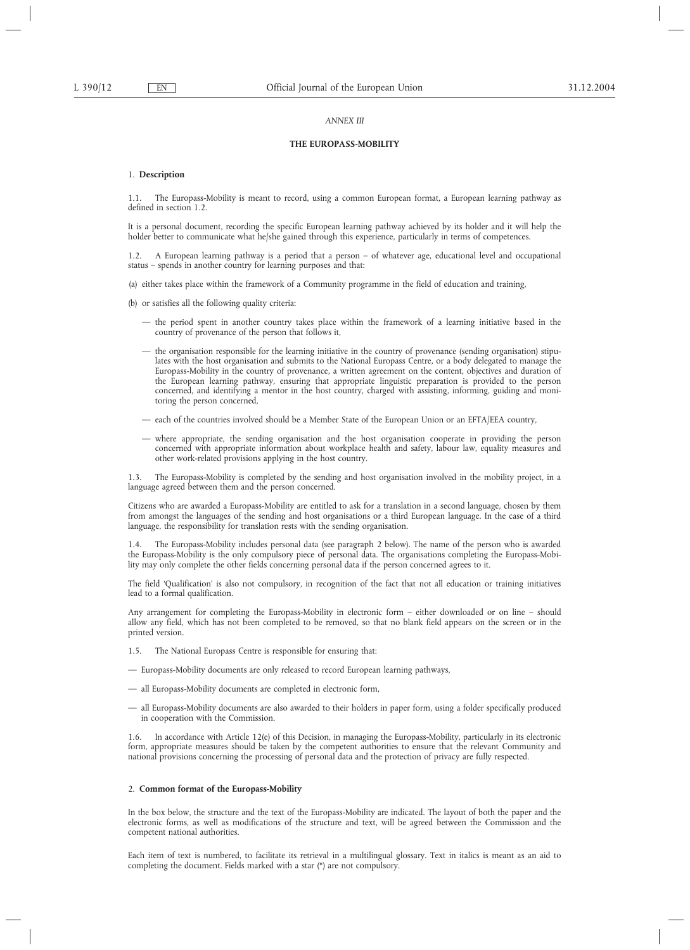### *ANNEX III*

# **THE EUROPASS-MOBILITY**

### 1. **Description**

1.1. The Europass-Mobility is meant to record, using a common European format, a European learning pathway as defined in section 1.2.

It is a personal document, recording the specific European learning pathway achieved by its holder and it will help the holder better to communicate what he/she gained through this experience, particularly in terms of competences.

1.2. A European learning pathway is a period that a person – of whatever age, educational level and occupational status – spends in another country for learning purposes and that:

(a) either takes place within the framework of a Community programme in the field of education and training,

(b) or satisfies all the following quality criteria:

- the period spent in another country takes place within the framework of a learning initiative based in the country of provenance of the person that follows it,
- the organisation responsible for the learning initiative in the country of provenance (sending organisation) stipulates with the host organisation and submits to the National Europass Centre, or a body delegated to manage the Europass-Mobility in the country of provenance, a written agreement on the content, objectives and duration of the European learning pathway, ensuring that appropriate linguistic preparation is provided to the person concerned, and identifying a mentor in the host country, charged with assisting, informing, guiding and monitoring the person concerned,
- each of the countries involved should be a Member State of the European Union or an EFTA/EEA country,
- where appropriate, the sending organisation and the host organisation cooperate in providing the person concerned with appropriate information about workplace health and safety, labour law, equality measures and other work-related provisions applying in the host country.

1.3. The Europass-Mobility is completed by the sending and host organisation involved in the mobility project, in a language agreed between them and the person concerned.

Citizens who are awarded a Europass-Mobility are entitled to ask for a translation in a second language, chosen by them from amongst the languages of the sending and host organisations or a third European language. In the case of a third language, the responsibility for translation rests with the sending organisation.

1.4. The Europass-Mobility includes personal data (see paragraph 2 below). The name of the person who is awarded the Europass-Mobility is the only compulsory piece of personal data. The organisations completing the Europass-Mobility may only complete the other fields concerning personal data if the person concerned agrees to it.

The field 'Qualification' is also not compulsory, in recognition of the fact that not all education or training initiatives lead to a formal qualification.

Any arrangement for completing the Europass-Mobility in electronic form – either downloaded or on line – should allow any field, which has not been completed to be removed, so that no blank field appears on the screen or in the printed version.

- 1.5. The National Europass Centre is responsible for ensuring that:
- Europass-Mobility documents are only released to record European learning pathways,
- all Europass-Mobility documents are completed in electronic form,
- all Europass-Mobility documents are also awarded to their holders in paper form, using a folder specifically produced in cooperation with the Commission.

1.6. In accordance with Article 12(e) of this Decision, in managing the Europass-Mobility, particularly in its electronic form, appropriate measures should be taken by the competent authorities to ensure that the relevant Community and national provisions concerning the processing of personal data and the protection of privacy are fully respected.

### 2. **Common format of the Europass-Mobility**

In the box below, the structure and the text of the Europass-Mobility are indicated. The layout of both the paper and the electronic forms, as well as modifications of the structure and text, will be agreed between the Commission and the competent national authorities.

Each item of text is numbered, to facilitate its retrieval in a multilingual glossary. Text in italics is meant as an aid to completing the document. Fields marked with a star (\*) are not compulsory.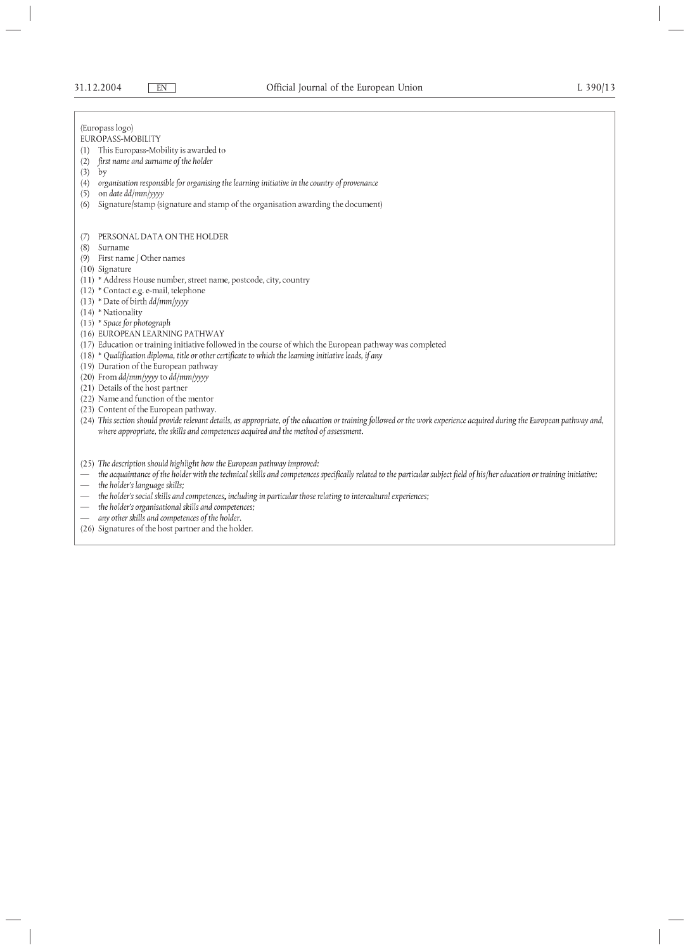$(2)$  $(3)$  $_{\rm by}$ 

 $(5)$ 

(Europass logo) EUROPASS-MOBILITY (1) This Europass-Mobility is awarded to first name and surname of the holder (4) organisation responsible for organising the learning initiative in the country of provenance on date dd/mm/yyyy (6) Signature/stamp (signature and stamp of the organisation awarding the document) (7) PERSONAL DATA ON THE HOLDER (8) Surname (9) First name / Other names  $(10)$  Signature (11) \* Address House number, street name, postcode, city, country (12) \* Contact e.g. e-mail, telephone  $(13)$  \* Date of birth  $dd/mm/yyy$  $(14)$  \* Nationality (15) \* Space for photograph (16) EUROPEAN LEARNING PATHWAY (17) Education or training initiative followed in the course of which the European pathway was completed (18) \* Qualification diploma, title or other certificate to which the learning initiative leads, if any  $(19)$  Duration of the European pathway (20) From dd/mm/yyyy to dd/mm/yyyy (21) Details of the host partner (22) Name and function of the mentor (23) Content of the European pathway. (24) This section should provide relevant details, as appropriate, of the education or training followed or the work experience acquired during the European pathway and, where appropriate, the skills and competences acquired and the method of assessment. (25) The description should highlight how the European pathway improved: the acquaintance of the holder with the technical skills and competences specifically related to the particular subject field of his/her education or training initiative; - the holder's language skills; - the holder's social skills and competences, including in particular those relating to intercultural experiences;

- the holder's organisational skills and competences;
- any other skills and competences of the holder.
- (26) Signatures of the host partner and the holder.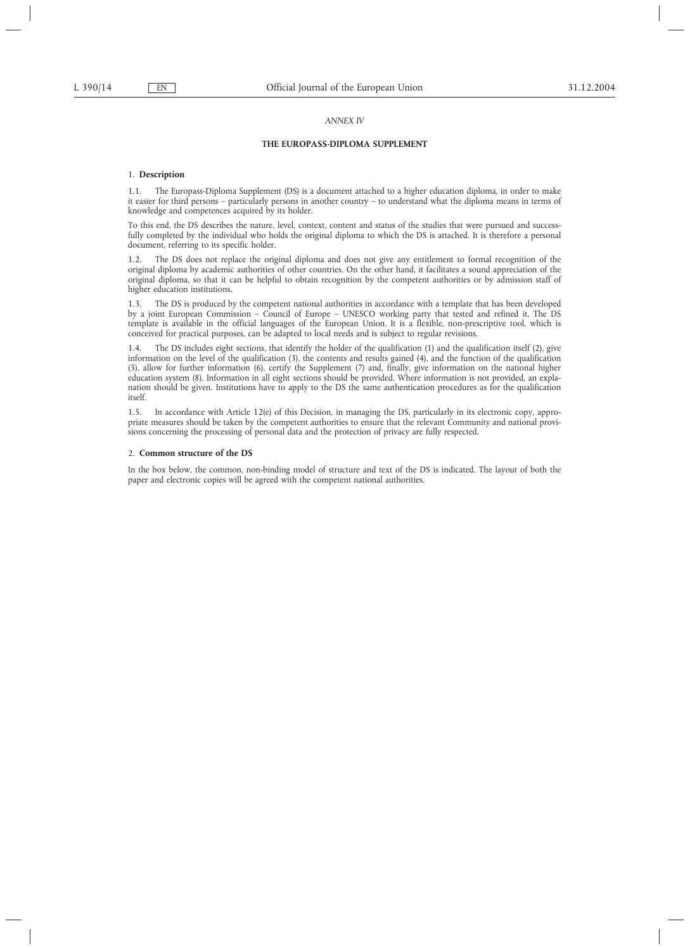### *ANNEX IV*

# **THE EUROPASS-DIPLOMA SUPPLEMENT**

# 1. **Description**

1.1. The Europass-Diploma Supplement (DS) is a document attached to a higher education diploma, in order to make it easier for third persons – particularly persons in another country – to understand what the diploma means in terms of knowledge and competences acquired by its holder.

To this end, the DS describes the nature, level, context, content and status of the studies that were pursued and successfully completed by the individual who holds the original diploma to which the DS is attached. It is therefore a personal document, referring to its specific holder.

The DS does not replace the original diploma and does not give any entitlement to formal recognition of the original diploma by academic authorities of other countries. On the other hand, it facilitates a sound appreciation of the original diploma, so that it can be helpful to obtain recognition by the competent authorities or by admission staff of higher education institutions.

1.3. The DS is produced by the competent national authorities in accordance with a template that has been developed by a joint European Commission – Council of Europe – UNESCO working party that tested and refined it. The DS template is available in the official languages of the European Union. It is a flexible, non-prescriptive tool, which is conceived for practical purposes, can be adapted to local needs and is subject to regular revisions.

1.4. The DS includes eight sections, that identify the holder of the qualification (1) and the qualification itself (2), give information on the level of the qualification (3), the contents and results gained (4), and the function of the qualification (5), allow for further information (6), certify the Supplement (7) and, finally, give information on the national higher education system (8). Information in all eight sections should be provided. Where information is not provided, an explanation should be given. Institutions have to apply to the DS the same authentication procedures as for the qualification itself.

1.5. In accordance with Article 12(e) of this Decision, in managing the DS, particularly in its electronic copy, appropriate measures should be taken by the competent authorities to ensure that the relevant Community and national provisions concerning the processing of personal data and the protection of privacy are fully respected.

### 2. **Common structure of the DS**

In the box below, the common, non-binding model of structure and text of the DS is indicated. The layout of both the paper and electronic copies will be agreed with the competent national authorities.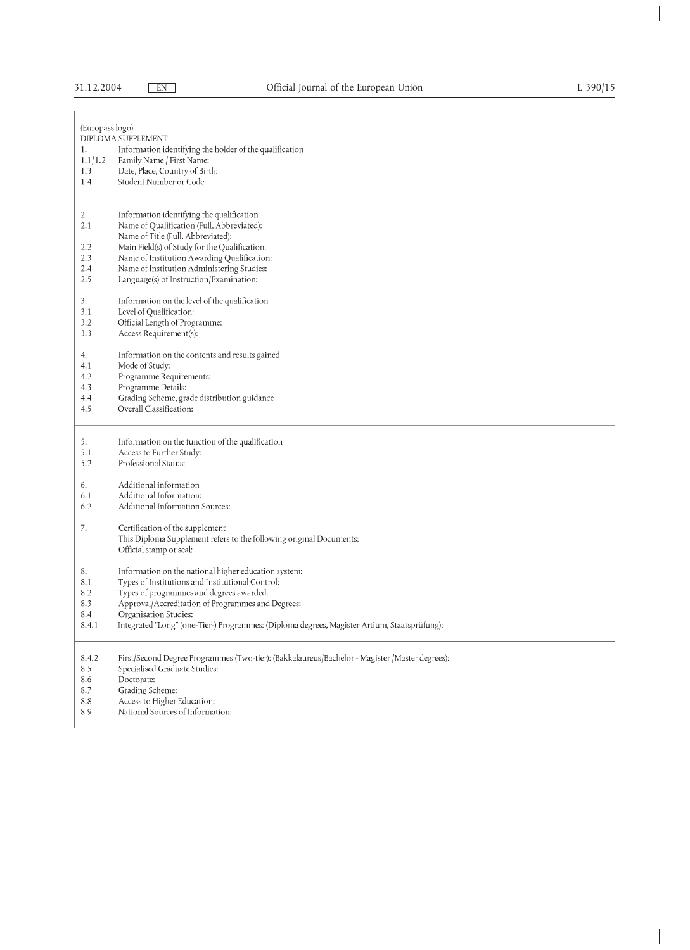| (Europass logo)                       | DIPLOMA SUPPLEMENT                                                                                                                                                                                                                                                                                                     |
|---------------------------------------|------------------------------------------------------------------------------------------------------------------------------------------------------------------------------------------------------------------------------------------------------------------------------------------------------------------------|
| 1.                                    | Information identifying the holder of the qualification                                                                                                                                                                                                                                                                |
| 1.1/1.2                               | Family Name / First Name:                                                                                                                                                                                                                                                                                              |
| 1.3                                   | Date, Place, Country of Birth:                                                                                                                                                                                                                                                                                         |
| 1.4                                   | Student Number or Code:                                                                                                                                                                                                                                                                                                |
| 2.<br>2.1<br>2.2<br>2.3<br>2.4<br>2.5 | Information identifying the qualification<br>Name of Qualification (Full, Abbreviated):<br>Name of Title (Full, Abbreviated):<br>Main Field(s) of Study for the Qualification:<br>Name of Institution Awarding Qualification:<br>Name of Institution Administering Studies:<br>Language(s) of Instruction/Examination: |
| 3.                                    | Information on the level of the qualification                                                                                                                                                                                                                                                                          |
| 3.1                                   | Level of Qualification:                                                                                                                                                                                                                                                                                                |
| 3.2                                   | Official Length of Programme:                                                                                                                                                                                                                                                                                          |
| 3.3                                   | Access Requirement(s):                                                                                                                                                                                                                                                                                                 |
| 4.                                    | Information on the contents and results gained                                                                                                                                                                                                                                                                         |
| 4.1                                   | Mode of Study:                                                                                                                                                                                                                                                                                                         |
| 4.2                                   | Programme Requirements:                                                                                                                                                                                                                                                                                                |
| 4.3                                   | Programme Details:                                                                                                                                                                                                                                                                                                     |
| 4.4                                   | Grading Scheme, grade distribution guidance                                                                                                                                                                                                                                                                            |
| 4.5                                   | Overall Classification:                                                                                                                                                                                                                                                                                                |
| 5.                                    | Information on the function of the qualification                                                                                                                                                                                                                                                                       |
| 5.1                                   | Access to Further Study:                                                                                                                                                                                                                                                                                               |
| 5.2                                   | Professional Status:                                                                                                                                                                                                                                                                                                   |
| 6.                                    | Additional information                                                                                                                                                                                                                                                                                                 |
| 6.1                                   | Additional Information:                                                                                                                                                                                                                                                                                                |
| 6.2                                   | Additional Information Sources:                                                                                                                                                                                                                                                                                        |
| 7.                                    | Certification of the supplement<br>This Diploma Supplement refers to the following original Documents:<br>Official stamp or seal:                                                                                                                                                                                      |
| 8.                                    | Information on the national higher education system:                                                                                                                                                                                                                                                                   |
| 8.1                                   | Types of Institutions and Institutional Control:                                                                                                                                                                                                                                                                       |
| 8.2                                   | Types of programmes and degrees awarded:                                                                                                                                                                                                                                                                               |
| 8.3                                   | Approval/Accreditation of Programmes and Degrees:                                                                                                                                                                                                                                                                      |
| 8.4                                   | Organisation Studies:                                                                                                                                                                                                                                                                                                  |
| 8.4.1                                 | Integrated "Long" (one-Tier-) Programmes: (Diploma degrees, Magister Artium, Staatsprüfung):                                                                                                                                                                                                                           |
| 8.4.2                                 | First/Second Degree Programmes (Two-tier): (Bakkalaureus/Bachelor - Magister /Master degrees):                                                                                                                                                                                                                         |
| 8.5                                   | Specialised Graduate Studies:                                                                                                                                                                                                                                                                                          |
| 8.6                                   | Doctorate:                                                                                                                                                                                                                                                                                                             |
| 8.7                                   | Grading Scheme:                                                                                                                                                                                                                                                                                                        |
| 8.8                                   | Access to Higher Education:                                                                                                                                                                                                                                                                                            |
| 8.9                                   | National Sources of Information:                                                                                                                                                                                                                                                                                       |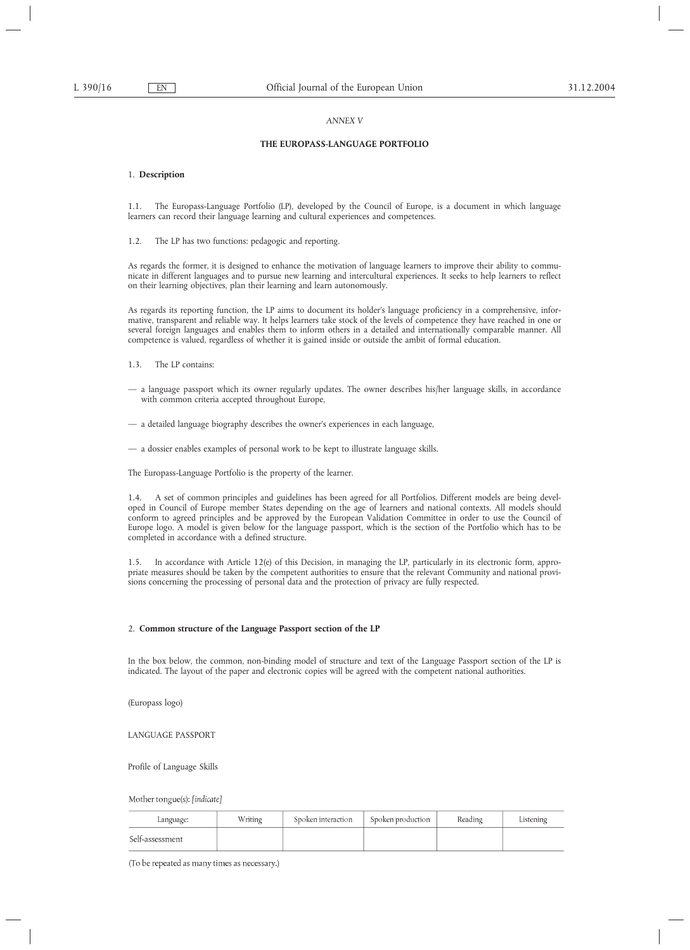# *ANNEX V*

# **THE EUROPASS-LANGUAGE PORTFOLIO**

### 1. **Description**

1.1. The Europass-Language Portfolio (LP), developed by the Council of Europe, is a document in which language learners can record their language learning and cultural experiences and competences.

1.2. The LP has two functions: pedagogic and reporting.

As regards the former, it is designed to enhance the motivation of language learners to improve their ability to communicate in different languages and to pursue new learning and intercultural experiences. It seeks to help learners to reflect on their learning objectives, plan their learning and learn autonomously.

As regards its reporting function, the LP aims to document its holder's language proficiency in a comprehensive, informative, transparent and reliable way. It helps learners take stock of the levels of competence they have reached in one or several foreign languages and enables them to inform others in a detailed and internationally comparable manner. All competence is valued, regardless of whether it is gained inside or outside the ambit of formal education.

- 1.3. The LP contains:
- a language passport which its owner regularly updates. The owner describes his/her language skills, in accordance with common criteria accepted throughout Europe,
- a detailed language biography describes the owner's experiences in each language,
- a dossier enables examples of personal work to be kept to illustrate language skills.

The Europass-Language Portfolio is the property of the learner.

1.4. A set of common principles and guidelines has been agreed for all Portfolios. Different models are being developed in Council of Europe member States depending on the age of learners and national contexts. All models should conform to agreed principles and be approved by the European Validation Committee in order to use the Council of Europe logo. A model is given below for the language passport, which is the section of the Portfolio which has to be completed in accordance with a defined structure.

1.5. In accordance with Article 12(e) of this Decision, in managing the LP, particularly in its electronic form, appropriate measures should be taken by the competent authorities to ensure that the relevant Community and national provisions concerning the processing of personal data and the protection of privacy are fully respected.

# 2. **Common structure of the Language Passport section of the LP**

In the box below, the common, non-binding model of structure and text of the Language Passport section of the LP is indicated. The layout of the paper and electronic copies will be agreed with the competent national authorities.

(Europass logo)

LANGUAGE PASSPORT

Profile of Language Skills

Mother tongue(s): [indicate]

| Language:       | Writing | Spoken interaction | Spoken production | Reading | Listening |
|-----------------|---------|--------------------|-------------------|---------|-----------|
| Self-assessment |         |                    |                   |         |           |

(To be repeated as many times as necessary.)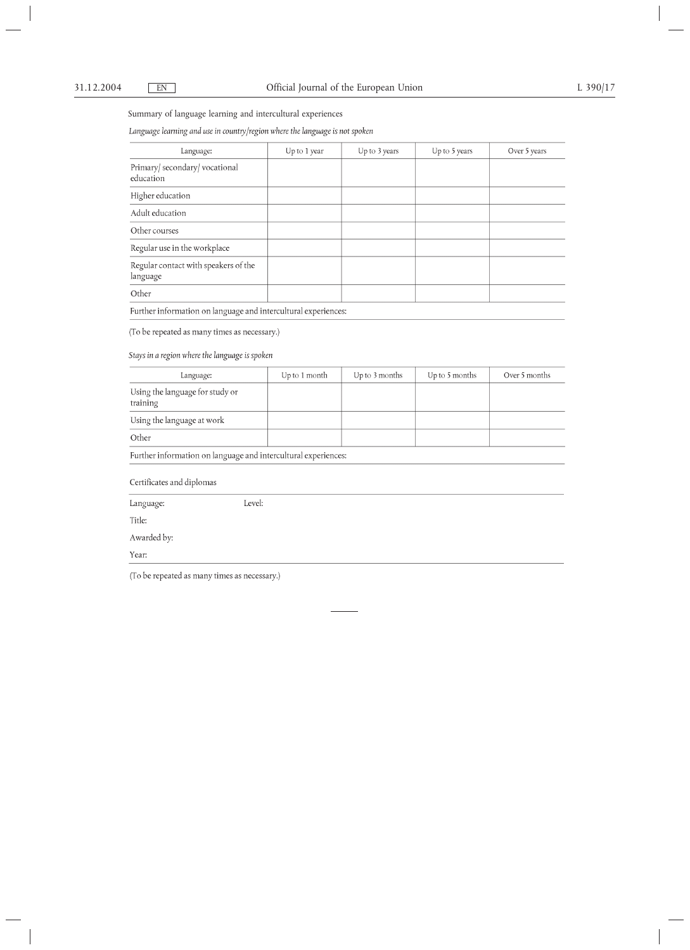Summary of language learning and intercultural experiences

Language learning and use in country/region where the language is not spoken

| Language:                                        | Up to 1 year | Up to 3 years | Up to 5 years | Over 5 years |
|--------------------------------------------------|--------------|---------------|---------------|--------------|
| Primary/ secondary/ vocational<br>education      |              |               |               |              |
| Higher education                                 |              |               |               |              |
| Adult education                                  |              |               |               |              |
| Other courses                                    |              |               |               |              |
| Regular use in the workplace                     |              |               |               |              |
| Regular contact with speakers of the<br>language |              |               |               |              |
| Other                                            |              |               |               |              |

Further information on language and intercultural experiences:

(To be repeated as many times as necessary.)

Stays in a region where the language is spoken

| Language:                                                      | Up to 1 month | Up to 3 months | Up to 5 months | Over 5 months |  |  |
|----------------------------------------------------------------|---------------|----------------|----------------|---------------|--|--|
| Using the language for study or<br>training                    |               |                |                |               |  |  |
| Using the language at work                                     |               |                |                |               |  |  |
| Other                                                          |               |                |                |               |  |  |
| Further information on language and intercultural experiences: |               |                |                |               |  |  |
| Certificates and diplomas                                      |               |                |                |               |  |  |
| Level:<br>Language:                                            |               |                |                |               |  |  |

Title:

Awarded by:

Year:

(To be repeated as many times as necessary.)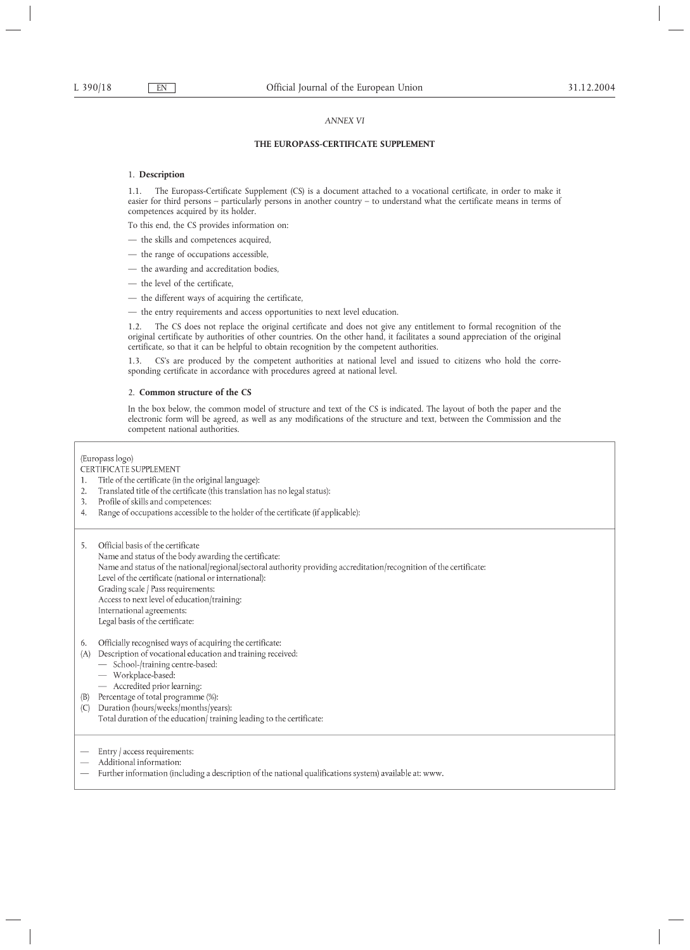### *ANNEX VI*

# **THE EUROPASS-CERTIFICATE SUPPLEMENT**

# 1. **Description**

1.1. The Europass-Certificate Supplement (CS) is a document attached to a vocational certificate, in order to make it easier for third persons – particularly persons in another country – to understand what the certificate means in terms of competences acquired by its holder.

To this end, the CS provides information on:

- the skills and competences acquired,
- the range of occupations accessible,
- the awarding and accreditation bodies,
- the level of the certificate,
- the different ways of acquiring the certificate,
- the entry requirements and access opportunities to next level education.

1.2. The CS does not replace the original certificate and does not give any entitlement to formal recognition of the original certificate by authorities of other countries. On the other hand, it facilitates a sound appreciation of the original certificate, so that it can be helpful to obtain recognition by the competent authorities.

1.3. CS's are produced by the competent authorities at national level and issued to citizens who hold the corresponding certificate in accordance with procedures agreed at national level.

### 2. **Common structure of the CS**

In the box below, the common model of structure and text of the CS is indicated. The layout of both the paper and the electronic form will be agreed, as well as any modifications of the structure and text, between the Commission and the competent national authorities.

### (Europass logo)

# CERTIFICATE SUPPLEMENT

- $1.$ Title of the certificate (in the original language):
- Translated title of the certificate (this translation has no legal status):  $2.$
- Profile of skills and competences:  $\mathcal{Z}$
- $\overline{4}$ Range of occupations accessible to the holder of the certificate (if applicable):

Official basis of the certificate 5. Name and status of the body awarding the certificate: Name and status of the national/regional/sectoral authority providing accreditation/recognition of the certificate: Level of the certificate (national or international): Grading scale / Pass requirements: Access to next level of education/training: International agreements: Legal basis of the certificate:

#### 6. Officially recognised ways of acquiring the certificate:

- (A) Description of vocational education and training received:
	- School-/training centre-based:
	- Workplace-based:
	- Accredited prior learning:
- (B) Percentage of total programme (%):
- Duration (hours/weeks/months/years):  $(C)$ Total duration of the education/training leading to the certificate:
- Entry / access requirements:
- Additional information:
- Further information (including a description of the national qualifications system) available at: www.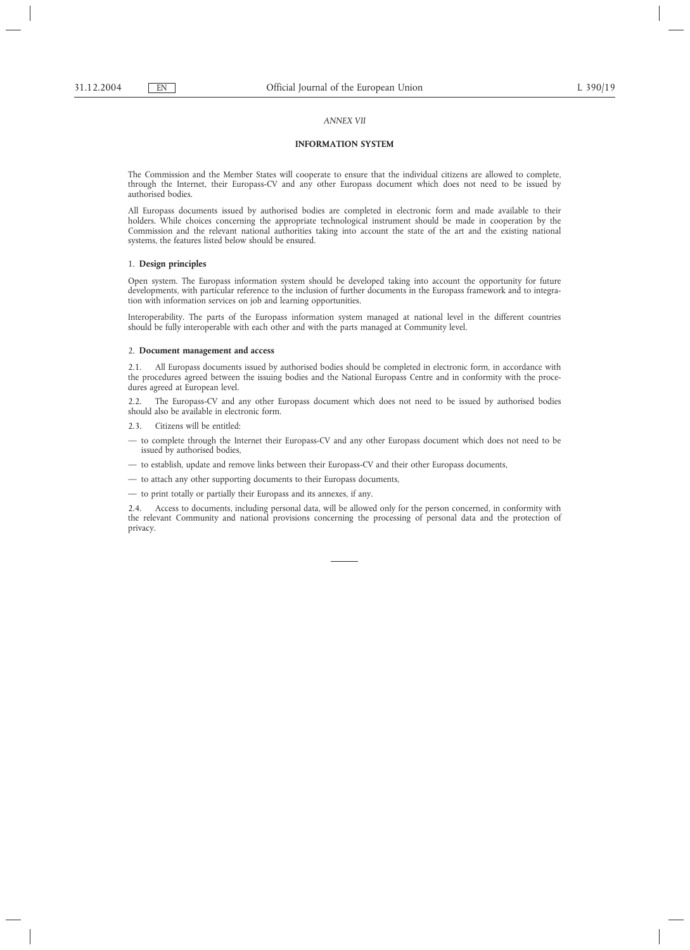### *ANNEX VII*

# **INFORMATION SYSTEM**

The Commission and the Member States will cooperate to ensure that the individual citizens are allowed to complete, through the Internet, their Europass-CV and any other Europass document which does not need to be issued by authorised bodies.

All Europass documents issued by authorised bodies are completed in electronic form and made available to their holders. While choices concerning the appropriate technological instrument should be made in cooperation by the Commission and the relevant national authorities taking into account the state of the art and the existing national systems, the features listed below should be ensured.

### 1. **Design principles**

Open system. The Europass information system should be developed taking into account the opportunity for future developments, with particular reference to the inclusion of further documents in the Europass framework and to integration with information services on job and learning opportunities.

Interoperability. The parts of the Europass information system managed at national level in the different countries should be fully interoperable with each other and with the parts managed at Community level.

### 2. **Document management and access**

All Europass documents issued by authorised bodies should be completed in electronic form, in accordance with the procedures agreed between the issuing bodies and the National Europass Centre and in conformity with the procedures agreed at European level.

2.2. The Europass-CV and any other Europass document which does not need to be issued by authorised bodies should also be available in electronic form.

- Citizens will be entitled:
- to complete through the Internet their Europass-CV and any other Europass document which does not need to be issued by authorised bodies,
- to establish, update and remove links between their Europass-CV and their other Europass documents,
- to attach any other supporting documents to their Europass documents,

— to print totally or partially their Europass and its annexes, if any.

2.4. Access to documents, including personal data, will be allowed only for the person concerned, in conformity with the relevant Community and national provisions concerning the processing of personal data and the protection of privacy.